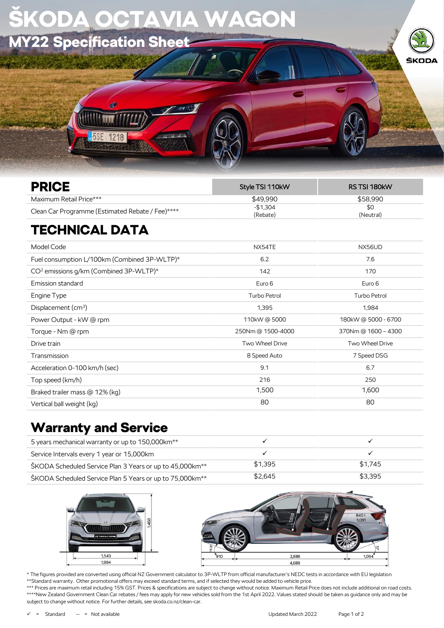| SKODA OCTAVIA WAGON      |  |       |
|--------------------------|--|-------|
| MY22 Specification Sheet |  |       |
|                          |  | ŠKODA |
|                          |  |       |
| <b>5SE 1218</b>          |  |       |
|                          |  |       |

| <b>PRICE</b>                                     | Style TSI 110kW | RS TSI 180kW |
|--------------------------------------------------|-----------------|--------------|
| Maximum Retail Price***                          | \$49.990        | \$58.990     |
| Clean Car Programme (Estimated Rebate / Fee)**** | $-$1,304$       | \$0          |
|                                                  | (Rebate)        | (Neutral)    |
|                                                  |                 |              |

## TECHNICAL DATA

| Model Code                                         | NX54TE              | NX56UD              |
|----------------------------------------------------|---------------------|---------------------|
| Fuel consumption L/100km (Combined 3P-WLTP)*       | 6.2                 | 7.6                 |
| CO <sup>2</sup> emissions g/km (Combined 3P-WLTP)* | 142                 | 170                 |
| Emission standard                                  | Euro 6              | Euro 6              |
| Engine Type                                        | <b>Turbo Petrol</b> | <b>Turbo Petrol</b> |
| Displacement $(cm3)$                               | 1,395               | 1,984               |
| Power Output - kW @ rpm                            | 110kW@5000          | 180kW@ 5000 - 6700  |
| Torque - Nm @ rpm                                  | 250Nm @ 1500-4000   | 370Nm @ 1600 - 4300 |
| Drive train                                        | Two Wheel Drive     | Two Wheel Drive     |
| Transmission                                       | 8 Speed Auto        | 7 Speed DSG         |
| Acceleration 0-100 km/h (sec)                      | 9.1                 | 6.7                 |
| Top speed (km/h)                                   | 216                 | 250                 |
| Braked trailer mass @ 12% (kg)                     | 1,500               | 1,600               |
| Vertical ball weight (kg)                          | 80                  | 80                  |
|                                                    |                     |                     |

## Warranty and Service

| 5 years mechanical warranty or up to 150,000 km <sup>**</sup>        |         |         |
|----------------------------------------------------------------------|---------|---------|
| Service Intervals every 1 year or 15,000km                           |         |         |
| ŠKODA Scheduled Service Plan 3 Years or up to 45,000km <sup>**</sup> | \$1.395 | \$1.745 |
| ŠKODA Scheduled Service Plan 5 Years or up to 75,000km <sup>**</sup> | \$2.645 | \$3,395 |



subject to change without notice. For further details, see skoda.co.nz/clean-car.



\* The figures provided are converted using official NZ Government calculator to 3P-WLTP from official manufacturer's NEDC tests in accordance with EU legislation \*\*Standard warranty. Other promotional offers may exceed standard terms, and if selected they would be added to vehicle price. \*\*\* Prices are maximum retail including 15% GST. Prices & specifications are subject to change without notice. Maximum Retail Price does not include additional on road costs. \*\*\*\*New Zealand Government Clean Car rebates / fees may apply for new vehicles sold from the 1st April 2022. Values stated should be taken as guidance only and may be